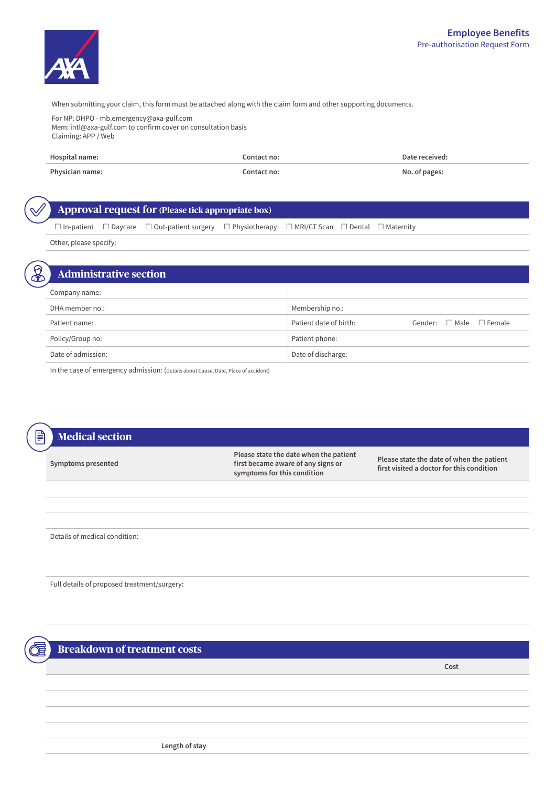

When submitting your claim, this form must be attached along with the claim form and other supporting documents.

For NP: DHPO - mb.emergency@axa-gulf.com Mem: intl@axa-gulf.com to confirm cover on consultation basis Claiming: APP / Web

| Hospital name:  | Contact no: | Date received: |
|-----------------|-------------|----------------|
| Physician name: | Contact no: | No. of pages:  |

**Approval request for (Please tick appropriate box)** 

 $\Box$  In-patient  $\Box$  Daycare  $\Box$  Out-patient surgery  $\Box$  Physiotherapy  $\Box$  MRI/CT Scan  $\Box$  Dental  $\Box$  Maternity

Other, please specify:

| <b>Administrative section</b> |                                                             |
|-------------------------------|-------------------------------------------------------------|
| Company name:                 |                                                             |
| DHA member no.:               | Membership no.:                                             |
| Patient name:                 | Patient date of birth:<br>Gender: $\Box$ Male $\Box$ Female |
| Policy/Group no:              | Patient phone:                                              |
| Date of admission:            | Date of discharge:                                          |

In the case of emergency admission: (Details about Cause, Date, Place of accident)

## **Medical section Symptoms** presented **Please state the date when the patient** first became aware of any signs or symptoms for this condition **Please state the date of when the patient** first visited a doctor for this condition

Details of medical condition:

Full details of proposed treatment/surgery:

**Breakdown of treatment costs** 

**Cost**